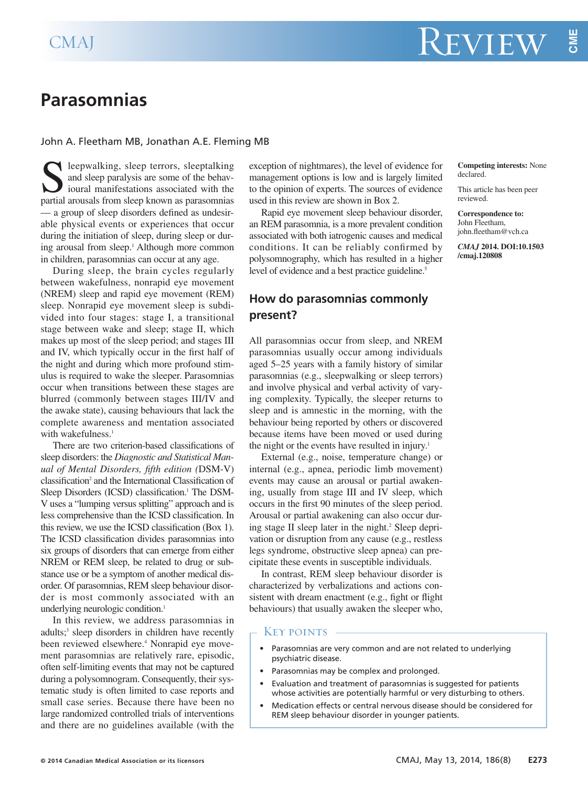**CM E**

# **Parasomnias**

## John A. Fleetham MB, Jonathan A.E. Fleming MB

leepwalking, sleep terrors, sleeptalking and sleep paralysis are some of the behavioural manifestations associated with the partial arousals from sleep known as parasomnias — a group of sleep disorders defined as undesirable physical events or experiences that occur during the initiation of sleep, during sleep or during arousal from sleep. <sup>1</sup> Although more common in children, parasomnias can occur at any age.

During sleep, the brain cycles regularly between wakefulness, nonrapid eye movement (NREM) sleep and rapid eye movement (REM) sleep. Nonrapid eye movement sleep is subdivided into four stages: stage I, a transitional stage between wake and sleep; stage II, which makes up most of the sleep period; and stages III and IV, which typically occur in the first half of the night and during which more profound stimulus is required to wake the sleeper. Parasomnias occur when transitions between these stages are blurred (commonly between stages III/IV and the awake state), causing behaviours that lack the complete awareness and mentation associated with wakefulness. 1

There are two criterion-based classifications of sleep disorders: the *Diagnostic and Statistical Manual of Mental Disorders, fifth edition (*DSM-V) classification<sup>2</sup> and the International Classification of Sleep Disorders (ICSD) classification. <sup>1</sup> The DSM-V uses a "lumping versus splitting" approach and is less comprehensive than the ICSD classification. In this review, we use the ICSD classification (Box 1). The ICSD classification divides parasomnias into six groups of disorders that can emerge from either NREM or REM sleep, be related to drug or substance use or be a symptom of another medical disorder. Of parasomnias, REM sleep behaviour disorder is most commonly associated with an underlying neurologic condition. 1

In this review, we address parasomnias in adults; <sup>3</sup> sleep disorders in children have recently been reviewed elsewhere. <sup>4</sup> Nonrapid eye movement parasomnias are relatively rare, episodic, often self-limiting events that may not be captured during a polysomnogram. Consequently, their systematic study is often limited to case reports and small case series. Because there have been no large randomized controlled trials of interventions and there are no guidelines available (with the exception of nightmares), the level of evidence for management options is low and is largely limited to the opinion of experts. The sources of evidence used in this review are shown in Box 2.

Rapid eye movement sleep behaviour disorder, an REM parasomnia, is a more prevalent condition associated with both iatrogenic causes and medical conditions. It can be reliably confirmed by polysomnography, which has resulted in a higher level of evidence and a best practice guideline. 5

# **How do parasomnias commonly present?**

All parasomnias occur from sleep, and NREM parasomnias usually occur among individuals aged 5–25 years with a family history of similar parasomnias (e.g., sleepwalking or sleep terrors) and involve physical and verbal activity of varying complexity. Typically, the sleeper returns to sleep and is amnestic in the morning, with the behaviour being reported by others or discovered because items have been moved or used during the night or the events have resulted in injury. 1

External (e.g., noise, temperature change) or internal (e.g., apnea, periodic limb movement) events may cause an arousal or partial awakening, usually from stage III and IV sleep, which occurs in the first 90 minutes of the sleep period. Arousal or partial awakening can also occur during stage II sleep later in the night. <sup>2</sup> Sleep deprivation or disruption from any cause (e.g., restless legs syndrome, obstructive sleep apnea) can precipitate these events in susceptible individuals.

In contrast, REM sleep behaviour disorder is characterized by verbalizations and actions consistent with dream enactment (e.g., fight or flight behaviours) that usually awaken the sleeper who,

#### Key points

- Parasomnias are very common and are not related to underlying psychiatric disease.
- Parasomnias may be complex and prolonged.
- Evaluation and treatment of parasomnias is suggested for patients whose activities are potentially harmful or very disturbing to others.
- Medication effects or central nervous disease should be considered for REM sleep behaviour disorder in younger patients.

**Competing interests:** None declared.

This article has been peer reviewed.

**Correspondence to:** John Fleetham, john.fleetham@vch.ca

*CMAJ* **2014. DOI:10.1503 /cmaj.120808**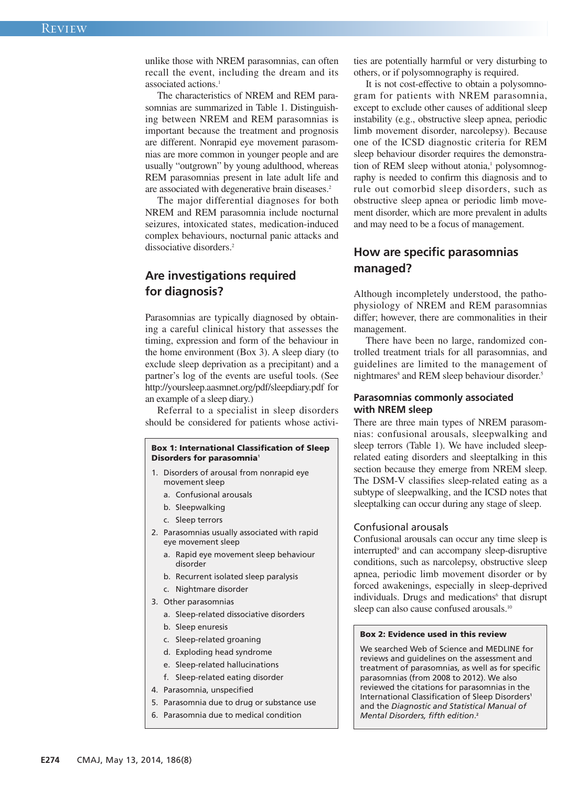unlike those with NREM parasomnias, can often recall the event, including the dream and its associated actions. 1

The characteristics of NREM and REM parasomnias are summarized in Table 1. Distinguishing between NREM and REM parasomnias is important because the treatment and prognosis are different. Nonrapid eye movement parasomnias are more common in younger people and are usually "outgrown" by young adulthood, whereas REM parasomnias present in late adult life and are associated with degenerative brain diseases. 2

The major differential diagnoses for both NREM and REM parasomnia include nocturnal seizures, intoxicated states, medication-induced complex behaviours, nocturnal panic attacks and dissociative disorders. 2

# **Are investigations required for diagnosis?**

Parasomnias are typically diagnosed by obtaining a careful clinical history that assesses the timing, expression and form of the behaviour in the home environment (Box 3). A sleep diary (to exclude sleep deprivation as a precipitant) and a partner's log of the events are useful tools. (See http://yoursleep.aasmnet.org/pdf/sleepdiary.pdf for an example of a sleep diary.)

Referral to a specialist in sleep disorders should be considered for patients whose activi-

#### **Box 1: International Classification of Sleep Disorders for parasomnia<sup>1</sup>**

- 1. Disorders of arousal from nonrapid eye movement sleep
	- a. Confusional arousals
	- b. Sleepwalking
	- c. Sleep terrors
- 2. Parasomnias usually associated with rapid eye movement sleep
	- a. Rapid eye movement sleep behaviour disorder
	- b. Recurrent isolated sleep paralysis
	- c. Nightmare disorder
- 3. Other parasomnias
	- a. Sleep-related dissociative disorders
	- b. Sleep enuresis
	- c. Sleep-related groaning
	- d. Exploding head syndrome
	- e. Sleep-related hallucinations
	- f. Sleep-related eating disorder
- 4. Parasomnia, unspecified
- 5. Parasomnia due to drug or substance use
- 6. Parasomnia due to medical condition

ties are potentially harmful or very disturbing to others, or if polysomnography is required.

It is not cost-effective to obtain a polysomnogram for patients with NREM parasomnia, except to exclude other causes of additional sleep instability (e.g., obstructive sleep apnea, periodic limb movement disorder, narcolepsy). Because one of the ICSD diagnostic criteria for REM sleep behaviour disorder requires the demonstration of REM sleep without atonia, <sup>1</sup> polysomnography is needed to confirm this diagnosis and to rule out comorbid sleep disorders, such as obstructive sleep apnea or periodic limb movement disorder, which are more prevalent in adults and may need to be a focus of management.

# **How are specific parasomnias managed?**

Although incompletely understood, the pathophysiology of NREM and REM parasomnias differ; however, there are commonalities in their management.

There have been no large, randomized controlled treatment trials for all parasomnias, and guidelines are limited to the management of nightmares<sup>8</sup> and REM sleep behaviour disorder.<sup>5</sup>

# **Parasomnias commonly associated with NREM sleep**

There are three main types of NREM parasomnias: confusional arousals, sleepwalking and sleep terrors (Table 1). We have included sleeprelated eating disorders and sleeptalking in this section because they emerge from NREM sleep. The DSM-V classifies sleep-related eating as a subtype of sleepwalking, and the ICSD notes that sleeptalking can occur during any stage of sleep.

### Confusional arousals

Confusional arousals can occur any time sleep is interrupted<sup>9</sup> and can accompany sleep-disruptive conditions, such as narcolepsy, obstructive sleep apnea, periodic limb movement disorder or by forced awakenings, especially in sleep-deprived individuals. Drugs and medications<sup>6</sup> that disrupt sleep can also cause confused arousals.<sup>10</sup>

# **Box 2: Evidence used in this review**

We searched Web of Science and MEDLINE for reviews and guidelines on the assessment and treatment of parasomnias, as well as for specific parasomnias (from 2008 to 2012). We also reviewed the citations for parasomnias in the International Classification of Sleep Disorders**<sup>1</sup>** and the *Diagnostic and Statistical Manual of Mental Disorders, fifth edition*. **2**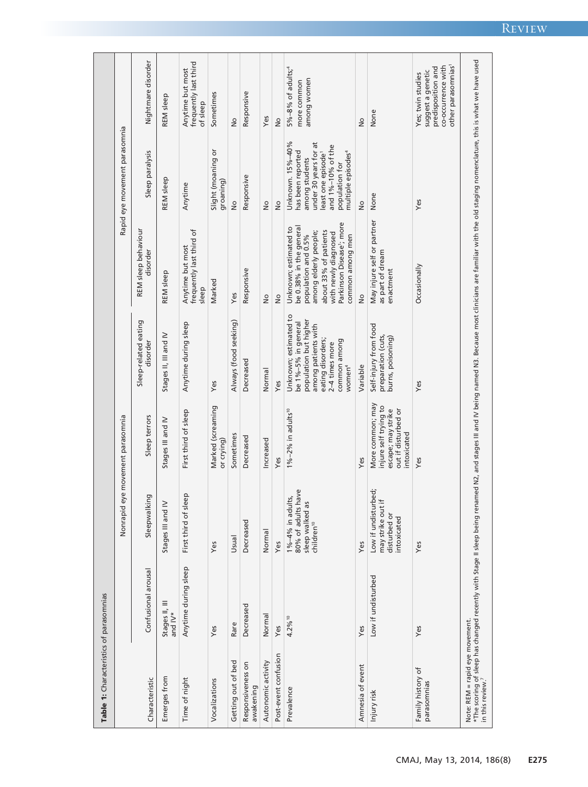| Table 1: Characteristics of parasomnias                         |                           |                                                                                     |                                                                                                       |                                                                                                                                                                           |                                                                                                                                                                                                                     |                                                                                                                                                                                             |                                                                                                                      |
|-----------------------------------------------------------------|---------------------------|-------------------------------------------------------------------------------------|-------------------------------------------------------------------------------------------------------|---------------------------------------------------------------------------------------------------------------------------------------------------------------------------|---------------------------------------------------------------------------------------------------------------------------------------------------------------------------------------------------------------------|---------------------------------------------------------------------------------------------------------------------------------------------------------------------------------------------|----------------------------------------------------------------------------------------------------------------------|
|                                                                 |                           | Nonrapid                                                                            | eye movement parasomnia                                                                               |                                                                                                                                                                           |                                                                                                                                                                                                                     | Rapid eye movement parasomnia                                                                                                                                                               |                                                                                                                      |
| Characteristic                                                  | Confusional arousal       | ing<br>Sleepwalk                                                                    | Sleep terrors                                                                                         | Sleep-related eating<br>disorder                                                                                                                                          | REM sleep behaviour<br>disorder                                                                                                                                                                                     | Sleep paralysis                                                                                                                                                                             | Nightmare disorder                                                                                                   |
| Emerges from                                                    | Stages II, III<br>and IV* | Stages III and IV                                                                   | Stages III and IV                                                                                     | Stages II, III and IV                                                                                                                                                     | <b>REM</b> sleep                                                                                                                                                                                                    | <b>REM</b> sleep                                                                                                                                                                            | <b>REM</b> sleep                                                                                                     |
| Time of night                                                   | Anytime during sleep      | First third of sleep                                                                | First third of sleep                                                                                  | Anytime during sleep                                                                                                                                                      | frequently last third of<br>Anytime but most<br>sleep                                                                                                                                                               | Anytime                                                                                                                                                                                     | frequently last third<br>Anytime but most<br>of sleep                                                                |
| Vocalizations                                                   | Yes                       | Yes                                                                                 | Marked (screaming<br>or crying)                                                                       | Yes                                                                                                                                                                       | Marked                                                                                                                                                                                                              | Slight (moaning or<br>groaning)                                                                                                                                                             | Sometimes                                                                                                            |
| Getting out of bed                                              | Rare                      | Usual                                                                               | Sometimes                                                                                             | Always (food seeking)                                                                                                                                                     | Yes                                                                                                                                                                                                                 | $\frac{1}{2}$                                                                                                                                                                               | $\frac{1}{2}$                                                                                                        |
| Responsiveness on<br>awakening                                  | Decreased                 | Decreased                                                                           | Decreased                                                                                             | Decreased                                                                                                                                                                 | Responsive                                                                                                                                                                                                          | Responsive                                                                                                                                                                                  | Responsive                                                                                                           |
| Autonomic activity                                              | Normal                    | Normal                                                                              | Increased                                                                                             | Normal                                                                                                                                                                    | $\frac{1}{2}$                                                                                                                                                                                                       | $\frac{1}{2}$                                                                                                                                                                               | Yes                                                                                                                  |
| Post-event confusion                                            | Yes                       | Yes                                                                                 | Yes                                                                                                   | Yes                                                                                                                                                                       | $\frac{1}{2}$                                                                                                                                                                                                       | $\frac{1}{2}$                                                                                                                                                                               | $\frac{1}{2}$                                                                                                        |
| Prevalence                                                      | 4.2% 10                   | 80% of adults have<br>1%-4% in adults,<br>sleep walked as<br>children <sup>10</sup> | $1\% - 2\%$ in adults <sup>10</sup>                                                                   | Unknown; estimated to<br>population but higher<br>be 1%-5% in general<br>among patients with<br>eating disorders;<br>common among<br>2-4 times more<br>women <sup>4</sup> | Parkinson Disease'; more<br>be 0.38% in the general<br>Unknown; estimated to<br>about 33% of patients<br>among elderly people;<br>with newly diagnosed<br>population and 0.5%<br>common among men                   | under 30 years for at<br>Unknown. 15%-40%<br>and 1%-10% of the<br>has been reported<br>least one episode <sup>1</sup><br>multiple episodes <sup>4</sup><br>among students<br>population for | $5\% - 8\%$ of adults; <sup>4</sup><br>among women<br>more common                                                    |
| Amnesia of event                                                | Yes                       | Yes                                                                                 | Yes                                                                                                   | Variable                                                                                                                                                                  | $\frac{1}{2}$                                                                                                                                                                                                       | $\frac{1}{2}$                                                                                                                                                                               | $\frac{1}{2}$                                                                                                        |
| Injury risk                                                     | Low if undisturbed        | Low if undisturbed;<br>$\pm$<br>may strike out<br>disturbed or<br>intoxicated       | More common; may<br>injure self trying to<br>escape; may strike<br>out if disturbed or<br>intoxicated | Self-injury from food<br>preparation (cuts,<br>burns, poisoning)                                                                                                          | May injure self or partner<br>as part of dream<br>enactment                                                                                                                                                         | None                                                                                                                                                                                        | None                                                                                                                 |
| Family history of<br>parasomnias                                | Yes                       | Yes                                                                                 | Yes                                                                                                   | Yes                                                                                                                                                                       | Occasionally                                                                                                                                                                                                        | Yes                                                                                                                                                                                         | other parasomnias <sup>1</sup><br>co-occurrence with<br>predisposition and<br>suggest a genetic<br>Yes; twin studies |
| Note: REM = rapid eye movement.<br>in this review. <sup>7</sup> |                           |                                                                                     |                                                                                                       |                                                                                                                                                                           | *The scoring of sleep has changed recently with Stage II sleep being renamed N2, and stages III and IV being named N3. Because most clinicians are familiar with the old staging nomenclature, this is what we used |                                                                                                                                                                                             |                                                                                                                      |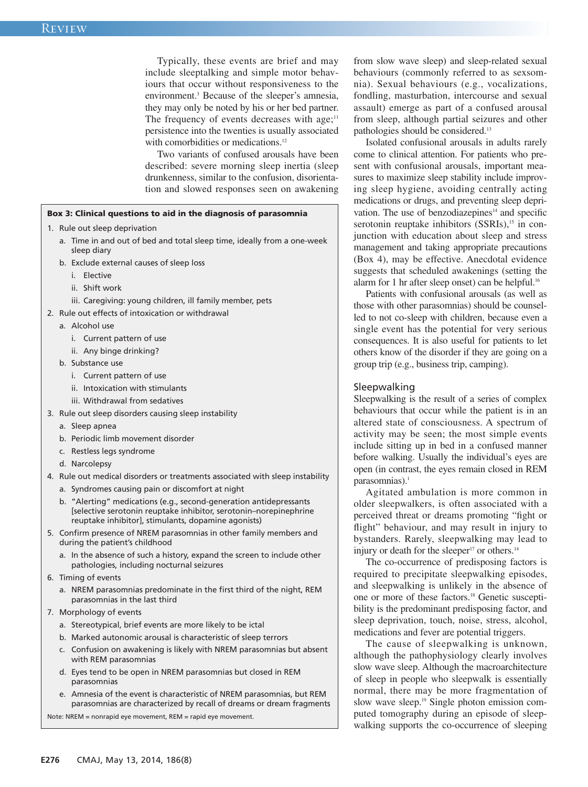Typically, these events are brief and may include sleeptalking and simple motor behaviours that occur without responsiveness to the environment. <sup>3</sup> Because of the sleeper's amnesia, they may only be noted by his or her bed partner. The frequency of events decreases with age;<sup>11</sup> persistence into the twenties is usually associated with comorbidities or medications.<sup>12</sup>

Two variants of confused arousals have been described: severe morning sleep inertia (sleep drunkenness, similar to the confusion, disorientation and slowed responses seen on awakening

### **Box 3: Clinical questions to aid in the diagnosis of parasomnia**

- 1. Rule out sleep deprivation
	- a. Time in and out of bed and total sleep time, ideally from a one-week sleep diary
	- b. Exclude external causes of sleep loss
		- i. Elective
		- ii. Shift work
		- iii. Caregiving: young children, ill family member, pets
- 2. Rule out effects of intoxication or withdrawal
	- a. Alcohol use
		- i. Current pattern of use
		- ii. Any binge drinking?
	- b. Substance use
		- i. Current pattern of use
		- ii. Intoxication with stimulants
		- iii. Withdrawal from sedatives
- 3. Rule out sleep disorders causing sleep instability
	- a. Sleep apnea
	- b. Periodic limb movement disorder
	- c. Restless legs syndrome
	- d. Narcolepsy
- 4. Rule out medical disorders or treatments associated with sleep instability a. Syndromes causing pain or discomfort at night
	- b. "Alerting" medications (e.g., second-generation antidepressants [selective serotonin reuptake inhibitor, serotonin–norepinephrine reuptake inhibitor], stimulants, dopamine agonists)
- 5. Confirm presence of NREM parasomnias in other family members and during the patient's childhood
	- a. In the absence of such a history, expand the screen to include other pathologies, including nocturnal seizures
- 6. Timing of events
	- a. NREM parasomnias predominate in the first third of the night, REM parasomnias in the last third
- 7. Morphology of events
	- a. Stereotypical, brief events are more likely to be ictal
	- b. Marked autonomic arousal is characteristic of sleep terrors
	- c. Confusion on awakening is likely with NREM parasomnias but absent with REM parasomnias
	- d. Eyes tend to be open in NREM parasomnias but closed in REM parasomnias
	- e. Amnesia of the event is characteristic of NREM parasomnias, but REM parasomnias are characterized by recall of dreams or dream fragments

Note: NREM = nonrapid eye movement, REM = rapid eye movement.

from slow wave sleep) and sleep-related sexual behaviours (commonly referred to as sexsomnia). Sexual behaviours (e.g., vocalizations, fondling, masturbation, intercourse and sexual assault) emerge as part of a confused arousal from sleep, although partial seizures and other pathologies should be considered.<sup>13</sup>

Isolated confusional arousals in adults rarely come to clinical attention. For patients who present with confusional arousals, important measures to maximize sleep stability include improving sleep hygiene, avoiding centrally acting medications or drugs, and preventing sleep deprivation. The use of benzodiazepines<sup>14</sup> and specific serotonin reuptake inhibitors (SSRIs),<sup>15</sup> in conjunction with education about sleep and stress management and taking appropriate precautions (Box 4), may be effective. Anecdotal evidence suggests that scheduled awakenings (setting the alarm for 1 hr after sleep onset) can be helpful. 16

Patients with confusional arousals (as well as those with other parasomnias) should be counselled to not co-sleep with children, because even a single event has the potential for very serious consequences. It is also useful for patients to let others know of the disorder if they are going on a group trip (e.g., business trip, camping).

# Sleepwalking

Sleepwalking is the result of a series of complex behaviours that occur while the patient is in an altered state of consciousness. A spectrum of activity may be seen; the most simple events include sitting up in bed in a confused manner before walking. Usually the individual's eyes are open (in contrast, the eyes remain closed in REM parasomnias). 1

Agitated ambulation is more common in older sleepwalkers, is often associated with a perceived threat or dreams promoting "fight or flight" behaviour, and may result in injury to bystanders. Rarely, sleepwalking may lead to injury or death for the sleeper<sup>17</sup> or others.<sup>14</sup>

The co-occurrence of predisposing factors is required to precipitate sleepwalking episodes, and sleepwalking is unlikely in the absence of one or more of these factors. <sup>18</sup> Genetic susceptibility is the predominant predisposing factor, and sleep deprivation, touch, noise, stress, alcohol, medications and fever are potential triggers.

The cause of sleepwalking is unknown, although the pathophysiology clearly involves slow wave sleep. Although the macroarchitecture of sleep in people who sleepwalk is essentially normal, there may be more fragmentation of slow wave sleep. <sup>19</sup> Single photon emission computed tomography during an episode of sleepwalking supports the co-occurrence of sleeping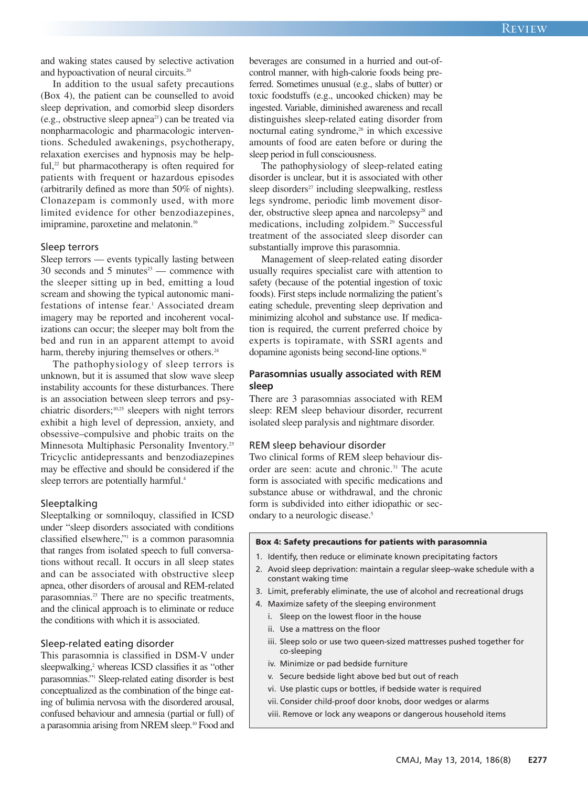and waking states caused by selective activation and hypoactivation of neural circuits. 20

In addition to the usual safety precautions (Box 4), the patient can be counselled to avoid sleep deprivation, and comorbid sleep disorders (e.g., obstructive sleep apnea<sup>21</sup>) can be treated via nonpharmacologic and pharmacologic interventions. Scheduled awakenings, psychotherapy, relaxation exercises and hypnosis may be helpful, <sup>22</sup> but pharmacotherapy is often required for patients with frequent or hazardous episodes (arbitrarily defined as more than 50% of nights). Clonazepam is commonly used, with more limited evidence for other benzodiazepines, imipramine, paroxetine and melatonin. 16

## Sleep terrors

Sleep terrors — events typically lasting between 30 seconds and 5 minutes $23$  — commence with the sleeper sitting up in bed, emitting a loud scream and showing the typical autonomic manifestations of intense fear. <sup>1</sup> Associated dream imagery may be reported and incoherent vocalizations can occur; the sleeper may bolt from the bed and run in an apparent attempt to avoid harm, thereby injuring themselves or others.<sup>24</sup>

The pathophysiology of sleep terrors is unknown, but it is assumed that slow wave sleep instability accounts for these disturbances. There is an association between sleep terrors and psychiatric disorders; 10,25 sleepers with night terrors exhibit a high level of depression, anxiety, and obsessive–compulsive and phobic traits on the Minnesota Multiphasic Personality Inventory. 25 Tricyclic antidepressants and benzodiazepines may be effective and should be considered if the sleep terrors are potentially harmful. 4

#### Sleeptalking

Sleeptalking or somniloquy, classified in ICSD under "sleep disorders associated with conditions classified elsewhere,"1 is a common parasomnia that ranges from isolated speech to full conversations without recall. It occurs in all sleep states and can be associated with obstructive sleep apnea, other disorders of arousal and REM-related parasomnias. <sup>23</sup> There are no specific treatments, and the clinical approach is to eliminate or reduce the conditions with which it is associated.

#### Sleep-related eating disorder

This parasomnia is classified in DSM-V under sleepwalking, <sup>2</sup> whereas ICSD classifies it as "other parasomnias."1 Sleep-related eating disorder is best conceptualized as the combination of the binge eating of bulimia nervosa with the disordered arousal, confused behaviour and amnesia (partial or full) of a parasomnia arising from NREM sleep. <sup>10</sup> Food and

beverages are consumed in a hurried and out-ofcontrol manner, with high-calorie foods being preferred. Sometimes unusual (e.g., slabs of butter) or toxic foodstuffs (e.g., uncooked chicken) may be ingested. Variable, diminished awareness and recall distinguishes sleep-related eating disorder from nocturnal eating syndrome, <sup>26</sup> in which excessive amounts of food are eaten before or during the sleep period in full consciousness.

The pathophysiology of sleep-related eating disorder is unclear, but it is associated with other sleep disorders $27$  including sleepwalking, restless legs syndrome, periodic limb movement disorder, obstructive sleep apnea and narcolepsy<sup>28</sup> and medications, including zolpidem. <sup>29</sup> Successful treatment of the associated sleep disorder can substantially improve this parasomnia.

Management of sleep-related eating disorder usually requires specialist care with attention to safety (because of the potential ingestion of toxic foods). First steps include normalizing the patient's eating schedule, preventing sleep deprivation and minimizing alcohol and substance use. If medication is required, the current preferred choice by experts is topiramate, with SSRI agents and dopamine agonists being second-line options. 30

# **Parasomnias usually associated with REM sleep**

There are 3 parasomnias associated with REM sleep: REM sleep behaviour disorder, recurrent isolated sleep paralysis and nightmare disorder.

#### REM sleep behaviour disorder

Two clinical forms of REM sleep behaviour disorder are seen: acute and chronic. <sup>31</sup> The acute form is associated with specific medications and substance abuse or withdrawal, and the chronic form is subdivided into either idiopathic or secondary to a neurologic disease. 5

#### **Box 4: Safety precautions for patients with parasomnia**

- 1. Identify, then reduce or eliminate known precipitating factors
- 2. Avoid sleep deprivation: maintain a regular sleep–wake schedule with a constant waking time
- 3. Limit, preferably eliminate, the use of alcohol and recreational drugs
- 4. Maximize safety of the sleeping environment
	- i. Sleep on the lowest floor in the house
	- ii. Use a mattress on the floor
	- iii. Sleep solo or use two queen-sized mattresses pushed together for co-sleeping
	- iv. Minimize or pad bedside furniture
	- v. Secure bedside light above bed but out of reach
	- vi. Use plastic cups or bottles, if bedside water is required
	- vii. Consider child-proof door knobs, door wedges or alarms
	- viii. Remove or lock any weapons or dangerous household items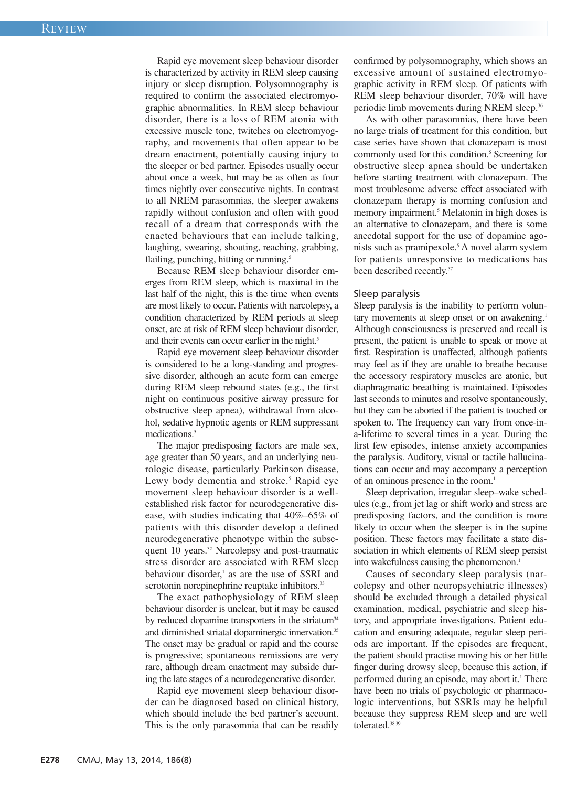Rapid eye movement sleep behaviour disorder is characterized by activity in REM sleep causing injury or sleep disruption. Polysomnography is required to confirm the associated electromyographic abnormalities. In REM sleep behaviour disorder, there is a loss of REM atonia with excessive muscle tone, twitches on electromyography, and movements that often appear to be dream enactment, potentially causing injury to the sleeper or bed partner. Episodes usually occur about once a week, but may be as often as four times nightly over consecutive nights. In contrast to all NREM parasomnias, the sleeper awakens rapidly without confusion and often with good recall of a dream that corresponds with the enacted behaviours that can include talking, laughing, swearing, shouting, reaching, grabbing, flailing, punching, hitting or running.<sup>5</sup>

Because REM sleep behaviour disorder emerges from REM sleep, which is maximal in the last half of the night, this is the time when events are most likely to occur. Patients with narcolepsy, a condition characterized by REM periods at sleep onset, are at risk of REM sleep behaviour disorder, and their events can occur earlier in the night. 5

Rapid eye movement sleep behaviour disorder is considered to be a long-standing and progressive disorder, although an acute form can emerge during REM sleep rebound states (e.g., the first night on continuous positive airway pressure for obstructive sleep apnea), withdrawal from alcohol, sedative hypnotic agents or REM suppressant medications. 5

The major predisposing factors are male sex, age greater than 50 years, and an underlying neurologic disease, particularly Parkinson disease, Lewy body dementia and stroke. <sup>5</sup> Rapid eye movement sleep behaviour disorder is a wellestablished risk factor for neurodegenerative disease, with studies indicating that 40%–65% of patients with this disorder develop a defined neurodegenerative phenotype within the subsequent 10 years. <sup>32</sup> Narcolepsy and post-traumatic stress disorder are associated with REM sleep behaviour disorder, <sup>1</sup> as are the use of SSRI and serotonin norepinephrine reuptake inhibitors.<sup>33</sup>

The exact pathophysiology of REM sleep behaviour disorder is unclear, but it may be caused by reduced dopamine transporters in the striatum<sup>34</sup> and diminished striatal dopaminergic innervation. 35 The onset may be gradual or rapid and the course is progressive; spontaneous remissions are very rare, although dream enactment may subside during the late stages of a neurodegenerative disorder.

Rapid eye movement sleep behaviour disorder can be diagnosed based on clinical history, which should include the bed partner's account. This is the only parasomnia that can be readily confirmed by polysomnography, which shows an excessive amount of sustained electromyographic activity in REM sleep. Of patients with REM sleep behaviour disorder, 70% will have periodic limb movements during NREM sleep.<sup>36</sup>

As with other parasomnias, there have been no large trials of treatment for this condition, but case series have shown that clonazepam is most commonly used for this condition. <sup>5</sup> Screening for obstructive sleep apnea should be undertaken before starting treatment with clonazepam. The most troublesome adverse effect associated with clonazepam therapy is morning confusion and memory impairment. <sup>5</sup> Melatonin in high doses is an alternative to clonazepam, and there is some anecdotal support for the use of dopamine agonists such as pramipexole. <sup>5</sup> A novel alarm system for patients unresponsive to medications has been described recently. 37

#### Sleep paralysis

Sleep paralysis is the inability to perform voluntary movements at sleep onset or on awakening.<sup>1</sup> Although consciousness is preserved and recall is present, the patient is unable to speak or move at first. Respiration is unaffected, although patients may feel as if they are unable to breathe because the accessory respiratory muscles are atonic, but diaphragmatic breathing is maintained. Episodes last seconds to minutes and resolve spontaneously, but they can be aborted if the patient is touched or spoken to. The frequency can vary from once-ina-lifetime to several times in a year. During the first few episodes, intense anxiety accompanies the paralysis. Auditory, visual or tactile hallucinations can occur and may accompany a perception of an ominous presence in the room. 1

Sleep deprivation, irregular sleep–wake schedules (e.g., from jet lag or shift work) and stress are predisposing factors, and the condition is more likely to occur when the sleeper is in the supine position. These factors may facilitate a state dissociation in which elements of REM sleep persist into wakefulness causing the phenomenon. 1

Causes of secondary sleep paralysis (narcolepsy and other neuropsychiatric illnesses) should be excluded through a detailed physical examination, medical, psychiatric and sleep history, and appropriate investigations. Patient education and ensuring adequate, regular sleep periods are important. If the episodes are frequent, the patient should practise moving his or her little finger during drowsy sleep, because this action, if performed during an episode, may abort it. <sup>1</sup> There have been no trials of psychologic or pharmacologic interventions, but SSRIs may be helpful because they suppress REM sleep and are well tolerated. 38,39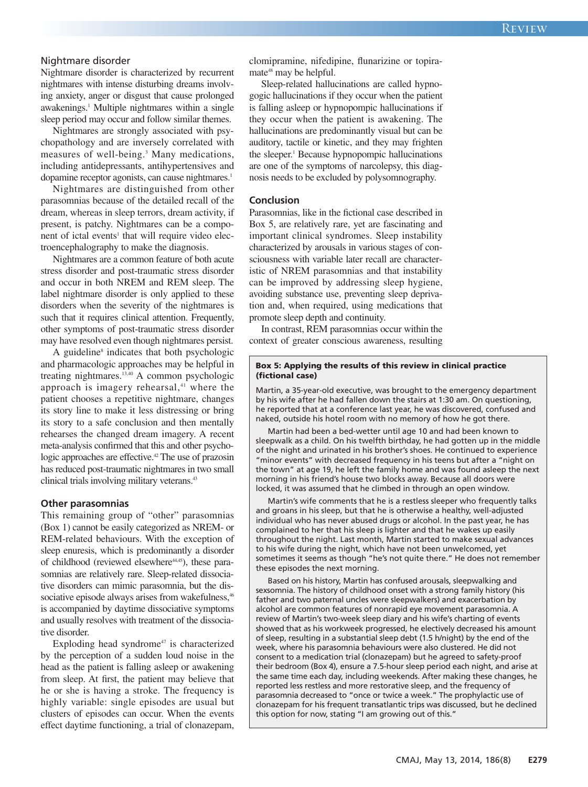# Nightmare disorder

Nightmare disorder is characterized by recurrent nightmares with intense disturbing dreams involving anxiety, anger or disgust that cause prolonged awakenings. <sup>1</sup> Multiple nightmares within a single sleep period may occur and follow similar themes.

Nightmares are strongly associated with psychopathology and are inversely correlated with measures of well-being. <sup>3</sup> Many medications, including antidepressants, antihypertensives and dopamine receptor agonists, can cause nightmares. 1

Nightmares are distinguished from other parasomnias because of the detailed recall of the dream, whereas in sleep terrors, dream activity, if present, is patchy. Nightmares can be a component of ictal events<sup>1</sup> that will require video electroencephalography to make the diagnosis.

Nightmares are a common feature of both acute stress disorder and post-traumatic stress disorder and occur in both NREM and REM sleep. The label nightmare disorder is only applied to these disorders when the severity of the nightmares is such that it requires clinical attention. Frequently, other symptoms of post-traumatic stress disorder may have resolved even though nightmares persist.

A guideline<sup>8</sup> indicates that both psychologic and pharmacologic approaches may be helpful in treating nightmares. 13,40 A common psychologic approach is imagery rehearsal, <sup>41</sup> where the patient chooses a repetitive nightmare, changes its story line to make it less distressing or bring its story to a safe conclusion and then mentally rehearses the changed dream imagery. A recent meta-analysis confirmed that this and other psychologic approaches are effective. <sup>42</sup> The use of prazosin has reduced post-traumatic nightmares in two small clinical trials involving military veterans.<sup>43</sup>

#### **Other parasomnias**

This remaining group of "other" parasomnias (Box 1) cannot be easily categorized as NREM- or REM-related behaviours. With the exception of sleep enuresis, which is predominantly a disorder of childhood (reviewed elsewhere<sup>44,45</sup>), these parasomnias are relatively rare. Sleep-related dissociative disorders can mimic parasomnia, but the dissociative episode always arises from wakefulness,<sup>46</sup> is accompanied by daytime dissociative symptoms and usually resolves with treatment of the dissociative disorder.

Exploding head syndrome<sup> $47$ </sup> is characterized by the perception of a sudden loud noise in the head as the patient is falling asleep or awakening from sleep. At first, the patient may believe that he or she is having a stroke. The frequency is highly variable: single episodes are usual but clusters of episodes can occur. When the events effect daytime functioning, a trial of clonazepam, clomipramine, nifedipine, flunarizine or topiramate<sup>48</sup> may be helpful.

Sleep-related hallucinations are called hypnogogic hallucinations if they occur when the patient is falling asleep or hypnopompic hallucinations if they occur when the patient is awakening. The hallucinations are predominantly visual but can be auditory, tactile or kinetic, and they may frighten the sleeper. <sup>1</sup> Because hypnopompic hallucinations are one of the symptoms of narcolepsy, this diagnosis needs to be excluded by polysomnography.

#### **Conclusion**

Parasomnias, like in the fictional case described in Box 5, are relatively rare, yet are fascinating and important clinical syndromes. Sleep instability characterized by arousals in various stages of consciousness with variable later recall are characteristic of NREM parasomnias and that instability can be improved by addressing sleep hygiene, avoiding substance use, preventing sleep deprivation and, when required, using medications that promote sleep depth and continuity.

In contrast, REM parasomnias occur within the context of greater conscious awareness, resulting

#### **Box 5: Applying the results of this review in clinical practice (fictional case)**

Martin, a 35-year-old executive, was brought to the emergency department by his wife after he had fallen down the stairs at 1:30 am. On questioning, he reported that at a conference last year, he was discovered, confused and naked, outside his hotel room with no memory of how he got there.

Martin had been a bed-wetter until age 10 and had been known to sleepwalk as a child. On his twelfth birthday, he had gotten up in the middle of the night and urinated in his brother's shoes. He continued to experience "minor events" with decreased frequency in his teens but after a "night on the town" at age 19, he left the family home and was found asleep the next morning in his friend's house two blocks away. Because all doors were locked, it was assumed that he climbed in through an open window.

Martin's wife comments that he is a restless sleeper who frequently talks and groans in his sleep, but that he is otherwise a healthy, well-adjusted individual who has never abused drugs or alcohol. In the past year, he has complained to her that his sleep is lighter and that he wakes up easily throughout the night. Last month, Martin started to make sexual advances to his wife during the night, which have not been unwelcomed, yet sometimes it seems as though "he's not quite there." He does not remember these episodes the next morning.

Based on his history, Martin has confused arousals, sleepwalking and sexsomnia. The history of childhood onset with a strong family history (his father and two paternal uncles were sleepwalkers) and exacerbation by alcohol are common features of nonrapid eye movement parasomnia. A review of Martin's two-week sleep diary and his wife's charting of events showed that as his workweek progressed, he electively decreased his amount of sleep, resulting in a substantial sleep debt (1.5 h/night) by the end of the week, where his parasomnia behaviours were also clustered. He did not consent to a medication trial (clonazepam) but he agreed to safety-proof their bedroom (Box 4), ensure a 7.5-hour sleep period each night, and arise at the same time each day, including weekends. After making these changes, he reported less restless and more restorative sleep, and the frequency of parasomnia decreased to "once or twice a week." The prophylactic use of clonazepam for his frequent transatlantic trips was discussed, but he declined this option for now, stating "I am growing out of this."